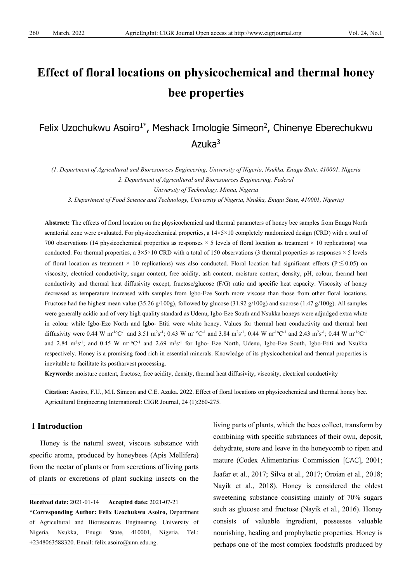# **Effect of floral locations on physicochemical and thermal honey bee properties**

## Felix Uzochukwu Asoiro<sup>1\*</sup>, Meshack Imologie Simeon<sup>2</sup>, Chinenye Eberechukwu Azuka $3$

*(1, Department of Agricultural and Bioresources Engineering, University of Nigeria, Nsukka, Enugu State, 410001, Nigeria 2. Department of Agricultural and Bioresources Engineering, Federal*

*University of Technology, Minna, Nigeria*

*3. Department of Food Science and Technology, University of Nigeria, Nsukka, Enugu State, 410001, Nigeria)*

**Abstract:** The effects of floral location on the physicochemical and thermal parameters of honey bee samples from Enugu North senatorial zone were evaluated. For physicochemical properties, a  $14\times5\times10$  completely randomized design (CRD) with a total of 700 observations (14 physicochemical properties as responses  $\times$  5 levels of floral location as treatment  $\times$  10 replications) was conducted. For thermal properties, a  $3 \times 5 \times 10$  CRD with a total of 150 observations (3 thermal properties as responses  $\times$  5 levels of floral location as treatment  $\times$  10 replications) was also conducted. Floral location had significant effects (P  $\leq$  0.05) on viscosity, electrical conductivity, sugar content, free acidity, ash content, moisture content, density, pH, colour, thermal heat conductivity and thermal heat diffusivity except, fructose/glucose (F/G) ratio and specific heat capacity. Viscosity of honey decreased as temperature increased with samples from Igbo-Eze South more viscose than those from other floral locations. Fructose had the highest mean value (35.26 g/100g), followed by glucose (31.92 g/100g) and sucrose (1.47 g/100g). All samples were generally acidic and of very high quality standard as Udenu, Igbo-Eze South and Nsukka honeys were adjudged extra white in colour while Igbo-Eze North and Igbo- Etiti were white honey. Values for thermal heat conductivity and thermal heat diffusivity were 0.44 W m<sup>-1o</sup>C<sup>-1</sup> and 3.51 m<sup>2</sup>s<sup>-1</sup>; 0.43 W m<sup>-1o</sup>C<sup>-1</sup> and 3.84 m<sup>2</sup>s<sup>-1</sup>; 0.44 W m<sup>-1o</sup>C<sup>-1</sup> and 2.43 m<sup>2</sup>s<sup>-1</sup>; 0.44 W m<sup>-1o</sup>C<sup>-1</sup> and 2.84 m<sup>2</sup>s<sup>-1</sup>; and 0.45 W m<sup>-1o</sup>C<sup>-1</sup> and 2.69 m<sup>2</sup>s<sup>-1</sup> for Igbo- Eze North, Udenu, Igbo-Eze South, Igbo-Etiti and Nsukka respectively. Honey is a promising food rich in essential minerals. Knowledge of its physicochemical and thermal properties is inevitable to facilitate its postharvest processing.

**Keywords:** moisture content, fructose, free acidity, density, thermal heat diffusivity, viscosity, electrical conductivity

**Citation:** Asoiro, F.U., M.I. Simeon and C.E. Azuka. 2022. Effect of floral locations on physicochemical and thermal honey bee. Agricultural Engineering International: CIGR Journal, 24 (1):260-275.

## **1 Introduction**

Honey is the natural sweet, viscous substance with specific aroma, produced by honeybees (Apis Mellifera) from the nectar of plants or from secretions of living parts of plants or excretions of plant sucking insects on the living parts of plants, which the bees collect, transform by combining with specific substances of their own, deposit, dehydrate, store and leave in the honeycomb to ripen and mature (Codex Alimentarius Commission [CAC], 2001; Jaafar et al., 2017; Silva et al., 2017; Oroian et al., 2018; Nayik et al., 2018). Honey is considered the oldest sweetening substance consisting mainly of 70% sugars such as glucose and fructose (Nayik et al., 2016). Honey consists of valuable ingredient, possesses valuable nourishing, healing and prophylactic properties. Honey is perhaps one of the most complex foodstuffs produced by

<span id="page-0-0"></span>**Received date:** 2021-01-14 **Accepted date:** 2021-07-21

**<sup>\*</sup>Corresponding Author: Felix Uzochukwu Asoiro,** Department of Agricultural and Bioresources Engineering, University of Nigeria, Nsukka, Enugu State, 410001, Nigeria. Tel.: +2348063588320. Email: felix.asoiro@unn.edu.ng.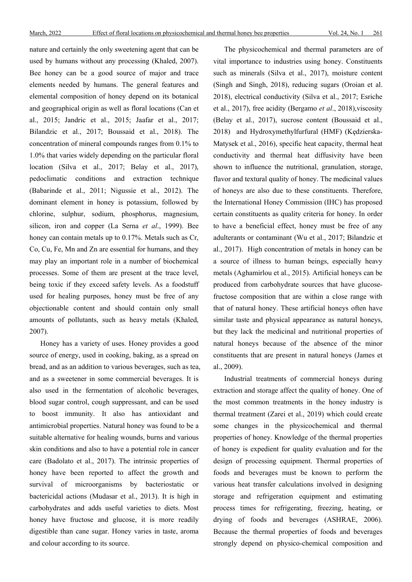nature and certainly the only sweetening agent that can be used by humans without any processing (Khaled, 2007). Bee honey can be a good source of major and trace elements needed by humans. The general features and elemental composition of honey depend on its botanical and geographical origin as well as floral locations (Can et al., 2015; Jandric et al., 2015; Jaafar et al., 2017; Bilandzic et al., 2017; Boussaid et al., 2018). The concentration of mineral compounds ranges from 0.1% to 1.0% that varies widely depending on the particular floral location (Silva et al., 2017; Belay et al., 2017), pedoclimatic conditions and extraction technique (Babarinde et al., 2011; Nigussie et al., 2012). The dominant element in honey is potassium, followed by chlorine, sulphur, sodium, phosphorus, magnesium, silicon, iron and copper (La Serna *et al*., 1999). Bee honey can contain metals up to 0.17%. Metals such as Cr, Co, Cu, Fe, Mn and Zn are essential for humans, and they may play an important role in a number of biochemical processes. Some of them are present at the trace level, being toxic if they exceed safety levels. As a foodstuff used for healing purposes, honey must be free of any objectionable content and should contain only small amounts of pollutants, such as heavy metals (Khaled, 2007).

Honey has a variety of uses. Honey provides a good source of energy, used in cooking, baking, as a spread on bread, and as an addition to various beverages, such as tea, and as a sweetener in some commercial beverages. It is also used in the fermentation of alcoholic beverages, blood sugar control, cough suppressant, and can be used to boost immunity. It also has antioxidant and antimicrobial properties. Natural honey was found to be a suitable alternative for healing wounds, burns and various skin conditions and also to have a potential role in cancer care (Badolato et al., 2017). The intrinsic properties of honey have been reported to affect the growth and survival of microorganisms by bacteriostatic or bactericidal actions (Mudasar et al., 2013). It is high in carbohydrates and adds useful varieties to diets. Most honey have fructose and glucose, it is more readily digestible than cane sugar. Honey varies in taste, aroma and colour according to its source.

The physicochemical and thermal parameters are of vital importance to industries using honey. Constituents such as minerals (Silva et al., 2017), moisture content (Singh and Singh, 2018), reducing sugars (Oroian et al. 2018), electrical conductivity (Silva et al., 2017; Esriche et al., 2017), free acidity (Bergamo *et al*., 2018),viscosity (Belay et al., 2017), sucrose content (Boussaid et al., 2018) and Hydroxymethylfurfural (HMF) (Kędzierska-Matysek et al., 2016), specific heat capacity, thermal heat conductivity and thermal heat diffusivity have been shown to influence the nutritional, granulation, storage, flavor and textural quality of honey. The medicinal values of honeys are also due to these constituents. Therefore, the International Honey Commission (IHC) has proposed certain constituents as quality criteria for honey. In order to have a beneficial effect, honey must be free of any adulterants or contaminant (Wu et al., 2017; Bilandzic et al., 2017). High concentration of metals in honey can be a source of illness to human beings, especially heavy metals (Aghamirlou et al., 2015). Artificial honeys can be produced from carbohydrate sources that have glucosefructose composition that are within a close range with that of natural honey. These artificial honeys often have similar taste and physical appearance as natural honeys, but they lack the medicinal and nutritional properties of natural honeys because of the absence of the minor constituents that are present in natural honeys (James et al., 2009).

Industrial treatments of commercial honeys during extraction and storage affect the quality of honey. One of the most common treatments in the honey industry is thermal treatment (Zarei et al., 2019) which could create some changes in the physicochemical and thermal properties of honey. Knowledge of the thermal properties of honey is expedient for quality evaluation and for the design of processing equipment. Thermal properties of foods and beverages must be known to perform the various heat transfer calculations involved in designing storage and refrigeration equipment and estimating process times for refrigerating, freezing, heating, or drying of foods and beverages (ASHRAE, 2006). Because the thermal properties of foods and beverages strongly depend on physico-chemical composition and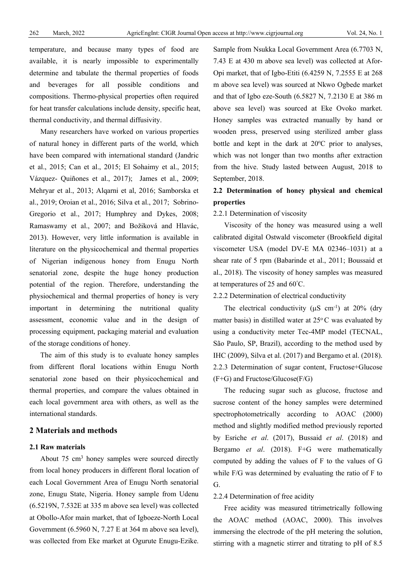temperature, and because many types of food are available, it is nearly impossible to experimentally determine and tabulate the thermal properties of foods and beverages for all possible conditions and compositions. Thermo-physical properties often required for heat transfer calculations include density, specific heat, thermal conductivity, and thermal diffusivity.

Many researchers have worked on various properties of natural honey in different parts of the world, which have been compared with international standard (Jandric et al., 2015; Can et al., 2015; El Sohaimy et al., 2015; Vázquez- Quiñones et al., 2017); James et al., 2009; Mehryar et al., 2013; Alqarni et al, 2016; Samborska et al., 2019; Oroian et al., 2016; Silva et al., 2017; Sobrino-Gregorio et al., 2017; Humphrey and Dykes, 2008; Ramaswamy et al., 2007; and Božiková and Hlavác, 2013). However, very little information is available in literature on the physicochemical and thermal properties of Nigerian indigenous honey from Enugu North senatorial zone, despite the huge honey production potential of the region. Therefore, understanding the physiochemical and thermal properties of honey is very important in determining the nutritional quality assessment, economic value and in the design of processing equipment, packaging material and evaluation of the storage conditions of honey.

The aim of this study is to evaluate honey samples from different floral locations within Enugu North senatorial zone based on their physicochemical and thermal properties, and compare the values obtained in each local government area with others, as well as the international standards.

## **2 Materials and methods**

## **2.1 Raw materials**

About 75 cm3 honey samples were sourced directly from local honey producers in different floral location of each Local Government Area of Enugu North senatorial zone, Enugu State, Nigeria. Honey sample from Udenu (6.5219N, 7.532E at 335 m above sea level) was collected at Obollo-Afor main market, that of Igboeze-North Local Government (6.5960 N, 7.27 E at 364 m above sea level), was collected from Eke market at Ogurute Enugu-Ezike.

Sample from Nsukka Local Government Area (6.7703 N, 7.43 E at 430 m above sea level) was collected at Afor-Opi market, that of Igbo-Etiti (6.4259 N, 7.2555 E at 268 m above sea level) was sourced at Nkwo Ogbede market and that of Igbo eze-South (6.5827 N, 7.2130 E at 386 m above sea level) was sourced at Eke Ovoko market. Honey samples was extracted manually by hand or wooden press, preserved using sterilized amber glass bottle and kept in the dark at 20°C prior to analyses, which was not longer than two months after extraction from the hive. Study lasted between August, 2018 to September, 2018.

## **2.2 Determination of honey physical and chemical properties**

## 2.2.1 Determination of viscosity

Viscosity of the honey was measured using a well calibrated digital Ostwald viscometer (Brookfield digital viscometer USA (model DV-E MA 02346–1031) at a shear rate of 5 rpm (Babarinde et al., 2011; Boussaid et al., 2018). The viscosity of honey samples was measured at temperatures of 25 and 60° C.

## 2.2.2 Determination of electrical conductivity

The electrical conductivity ( $\mu$ S cm<sup>-1</sup>) at 20% (dry matter basis) in distilled water at  $25^{\circ}$ C was evaluated by using a conductivity meter Tec-4MP model (TECNAL, São Paulo, SP, Brazil), according to the method used by IHC (2009), Silva et al. (2017) and Bergamo et al. (2018). 2.2.3 Determination of sugar content, Fructose+Glucose (F+G) and Fructose/Glucose(F/G)

The reducing sugar such as glucose, fructose and sucrose content of the honey samples were determined spectrophotometrically according to AOAC (2000) method and slightly modified method previously reported by Esriche *et al*. (2017), Bussaid *et al*. (2018) and Bergamo *et al*. (2018). F+G were mathematically computed by adding the values of F to the values of G while F/G was determined by evaluating the ratio of F to G.

#### 2.2.4 Determination of free acidity

Free acidity was measured titrimetrically following the AOAC method (AOAC, 2000). This involves immersing the electrode of the pH metering the solution, stirring with a magnetic stirrer and titrating to pH of 8.5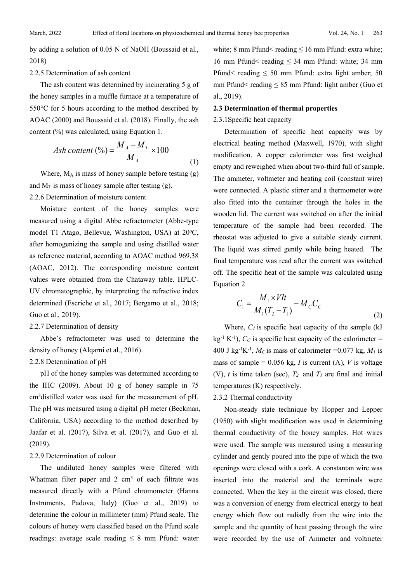by adding a solution of 0.05 N of NaOH (Boussaid et al., 2018)

#### 2.2.5 Determination of ash content

The ash content was determined by incinerating 5 g of the honey samples in a muffle furnace at a temperature of 550°C for 5 hours according to the method described by AOAC (2000) and Boussaid et al. (2018). Finally, the ash content (%) was calculated, using Equation 1.

$$
Ash\ content\ (\%) = \frac{M_A - M_T}{M_A} \times 100\tag{1}
$$

Where,  $M_A$  is mass of honey sample before testing  $(g)$ and  $M_T$  is mass of honey sample after testing (g). 2.2.6 Determination of moisture content

Moisture content of the honey samples were measured using a digital Abbe refractometer (Abbe-type model T1 Atago, Bellevue, Washington, USA) at 20°C, after homogenizing the sample and using distilled water as reference material, according to AOAC method 969.38 (AOAC, 2012). The corresponding moisture content values were obtained from the Chataway table. HPLC-UV chromatographic, by interpreting the refractive index determined (Escriche et al., 2017; Bergamo et al., 2018; Guo et al., 2019).

#### 2.2.7 Determination of density

Abbe's refractometer was used to determine the density of honey (Alqarni et al., 2016).

## 2.2.8 Determination of pH

pH of the honey samples was determined according to the IHC (2009). About 10 g of honey sample in 75 cm3distilled water was used for the measurement of pH. The pH was measured using a digital pH meter (Beckman, California, USA) according to the method described by Jaafar et al. (2017), Silva et al. (2017), and Guo et al. (2019).

#### 2.2.9 Determination of colour

The undiluted honey samples were filtered with Whatman filter paper and 2 cm<sup>3</sup> of each filtrate was measured directly with a Pfund chromometer (Hanna Instruments, Padova, Italy) (Guo et al., 2019) to determine the colour in millimeter (mm) Pfund scale. The colours of honey were classified based on the Pfund scale readings: average scale reading  $\leq 8$  mm Pfund: water white; 8 mm Pfund< reading  $\leq 16$  mm Pfund: extra white; 16 mm Pfund< reading  $\leq$  34 mm Pfund: white; 34 mm Pfund< reading  $\leq 50$  mm Pfund: extra light amber; 50 mm Pfund< reading  $\leq 85$  mm Pfund: light amber (Guo et al., 2019).

#### **2.3 Determination of thermal properties**

2.3.1Specific heat capacity

Determination of specific heat capacity was by electrical heating method (Maxwell, 1970), with slight modification. A copper calorimeter was first weighed empty and reweighed when about two-third full of sample. The ammeter, voltmeter and heating coil (constant wire) were connected. A plastic stirrer and a thermometer were also fitted into the container through the holes in the wooden lid. The current was switched on after the initial temperature of the sample had been recorded. The rheostat was adjusted to give a suitable steady current. The liquid was stirred gently while being heated. The final temperature was read after the current was switched off. The specific heat of the sample was calculated using Equation 2

$$
C_1 = \frac{M_1 \times VIt}{M_1(T_2 - T_1)} - M_C C_C
$$
\n(2)

Where,  $C_l$  is specific heat capacity of the sample (kJ)  $kg^{-1} K^{-1}$ ),  $C_C$  is specific heat capacity of the calorimeter = 400 J kg<sup>-1</sup>K<sup>-1</sup>,  $M_C$  is mass of calorimeter =0.077 kg,  $M_I$  is mass of sample =  $0.056$  kg, *I* is current (A), *V* is voltage (V),  $t$  is time taken (sec),  $T_2$  and  $T_1$  are final and initial temperatures (K) respectively.

## 2.3.2 Thermal conductivity

Non-steady state technique by Hopper and Lepper (1950) with slight modification was used in determining thermal conductivity of the honey samples. Hot wires were used. The sample was measured using a measuring cylinder and gently poured into the pipe of which the two openings were closed with a cork. A constantan wire was inserted into the material and the terminals were connected. When the key in the circuit was closed, there was a conversion of energy from electrical energy to heat energy which flow out radially from the wire into the sample and the quantity of heat passing through the wire were recorded by the use of Ammeter and voltmeter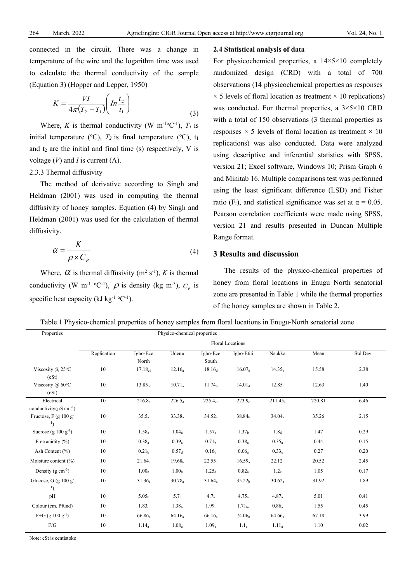connected in the circuit. There was a change in temperature of the wire and the logarithm time was used to calculate the thermal conductivity of the sample (Equation 3) (Hopper and Lepper, 1950)

$$
K = \frac{VI}{4\pi (T_2 - T_1)} \left( \ln \frac{t_2}{t_1} \right) \tag{3}
$$

Where, *K* is thermal conductivity (W  $m^{-10}C^{-1}$ ),  $T_l$  is initial temperature ( $\rm{^oC}$ ),  $T_2$  is final temperature ( $\rm{^oC}$ ),  $t_1$ and  $t_2$  are the initial and final time (s) respectively, V is voltage (*V*) and *I* is current (A).

## 2.3.3 Thermal diffusivity

The method of derivative according to Singh and Heldman (2001) was used in computing the thermal diffusivity of honey samples. Equation (4) by Singh and Heldman (2001) was used for the calculation of thermal diffusivity.

$$
\alpha = \frac{K}{\rho \times C_P} \tag{4}
$$

Where,  $\alpha$  is thermal diffusivity (m<sup>2</sup> s<sup>-1</sup>), K is thermal conductivity (W m<sup>-1 o</sup>C<sup>-1</sup>),  $\rho$  is density (kg m<sup>-3</sup>),  $C_p$  is specific heat capacity (kJ kg<sup>-1</sup>  $^{\circ}$ C<sup>-1</sup>).

#### **2.4 Statistical analysis of data**

For physicochemical properties, a  $14 \times 5 \times 10$  completely randomized design (CRD) with a total of 700 observations (14 physicochemical properties as responses  $\times$  5 levels of floral location as treatment  $\times$  10 replications) was conducted. For thermal properties, a  $3 \times 5 \times 10$  CRD with a total of 150 observations (3 thermal properties as responses  $\times$  5 levels of floral location as treatment  $\times$  10 replications) was also conducted. Data were analyzed using descriptive and inferential statistics with SPSS, version 21; Excel software, Windows 10; Prism Graph 6 and Minitab 16. Multiple comparisons test was performed using the least significant difference (LSD) and Fisher ratio (F<sub>r</sub>), and statistical significance was set at  $\alpha = 0.05$ . Pearson correlation coefficients were made using SPSS, version 21 and results presented in Duncan Multiple Range format.

## **3 Results and discussion**

The results of the physico-chemical properties of honey from floral locations in Enugu North senatorial zone are presented in Table 1 while the thermal properties of the honey samples are shown in Table 2.

Table 1 Physico-chemical properties of honey samples from floral locations in Enugu-North senatorial zone

| Properties                                                         | Physico-chemical properties |                     |                    |                     |                         |                    |        |          |  |  |  |
|--------------------------------------------------------------------|-----------------------------|---------------------|--------------------|---------------------|-------------------------|--------------------|--------|----------|--|--|--|
|                                                                    |                             |                     |                    |                     | <b>Floral Locations</b> |                    |        |          |  |  |  |
|                                                                    | Replication                 | Igbo-Eze            | Udenu              | Igbo-Eze            | Igbo-Etiti              | Nsukka             | Mean   | Std Dev. |  |  |  |
|                                                                    |                             | North               |                    | South               |                         |                    |        |          |  |  |  |
| Viscosity $(a)$ 25°C                                               | 10                          | $17.18_{cd}$        | $12.16_a$          | $18.16_d$           | 16.07 <sub>c</sub>      | 14.35 <sub>b</sub> | 15.58  | 2.38     |  |  |  |
| (cSt)                                                              |                             |                     |                    |                     |                         |                    |        |          |  |  |  |
| Viscosity $(a)$ 60°C                                               | 10                          | 13.85 <sub>cd</sub> | $10.71_a$          | 11.74 <sub>b</sub>  | $14.01_d$               | $12.85_c$          | 12.63  | 1.40     |  |  |  |
| (cSt)                                                              |                             |                     |                    |                     |                         |                    |        |          |  |  |  |
| Electrical                                                         | 10                          | 216.8 <sub>b</sub>  | $226.5_d$          | 225.4 <sub>cd</sub> | 223.9 <sub>c</sub>      | $211.45_a$         | 220.81 | 6.46     |  |  |  |
| conductivity( $\mu$ S cm <sup>-1</sup> )<br>Fructose, $F$ (g 100 g | 10                          | $35.5_a$            | 33.38 <sub>a</sub> | $34.52_a$           | 38.84 <sub>b</sub>      | $34.04_a$          | 35.26  | 2.15     |  |  |  |
| $\mathbf{1}$                                                       |                             |                     |                    |                     |                         |                    |        |          |  |  |  |
| Sucrose (g $100 \text{ g}^{-1}$ )                                  | 10                          | 1.58 <sub>c</sub>   | $1.04_a$           | 1.57 <sub>c</sub>   | 1.37 <sub>b</sub>       | 1.8 <sub>d</sub>   | 1.47   | 0.29     |  |  |  |
| Free acidity $(\% )$                                               | 10                          | $0.38_a$            | $0.39_a$           | 0.71 <sub>b</sub>   | $0.38_a$                | $0.35_a$           | 0.44   | 0.15     |  |  |  |
| Ash Content $(\% )$                                                | 10                          | 0.21 <sub>b</sub>   | 0.57 <sub>d</sub>  | 0.16 <sub>b</sub>   | $0.06_a$                | 0.33 <sub>c</sub>  | 0.27   | 0.20     |  |  |  |
| Moisture content (%)                                               | 10                          | 21.64 <sub>c</sub>  | 19.68 <sub>b</sub> | $22.55_c$           | $16.59_a$               | $22.12_c$          | 20.52  | 2.45     |  |  |  |
| Density ( $g \text{ cm}^{-3}$ )                                    | 10                          | 1.00 <sub>b</sub>   | 1.00 <sub>b</sub>  | 1.25 <sub>d</sub>   | $0.82_a$                | 1.2 <sub>c</sub>   | 1.05   | 0.17     |  |  |  |
| Glucose, G (g 100 g <sup>-</sup><br>$\mathbf{1}$                   | 10                          | $31.36_a$           | $30.78_a$          | 31.64 <sub>a</sub>  | 35.22 <sub>b</sub>      | $30.62_a$          | 31.92  | 1.89     |  |  |  |
| pH                                                                 | 10                          | 5.05 <sub>h</sub>   | 5.7 <sub>c</sub>   | $4.7_a$             | $4.75_a$                | $4.87_a$           | 5.01   | 0.41     |  |  |  |
| Colour (cm, Pfund)                                                 | 10                          | 1.83 <sub>c</sub>   | 1.38 <sub>b</sub>  | 1.99 <sub>c</sub>   | $1.71_{\rm bc}$         | $0.86_a$           | 1.55   | 0.45     |  |  |  |
| $F+G$ (g 100 g <sup>-1</sup> )                                     | 10                          | $66.86_a$           | $64.16_a$          | $66.16_a$           | 74.06 <sub>b</sub>      | $64.66_a$          | 67.18  | 3.99     |  |  |  |
| F/G                                                                | 10                          | $1.14_a$            | $1.08_a$           | $1.09_a$            | $1.1_a$                 | $1.11_a$           | 1.10   | 0.02     |  |  |  |

Note: cSt is centistoke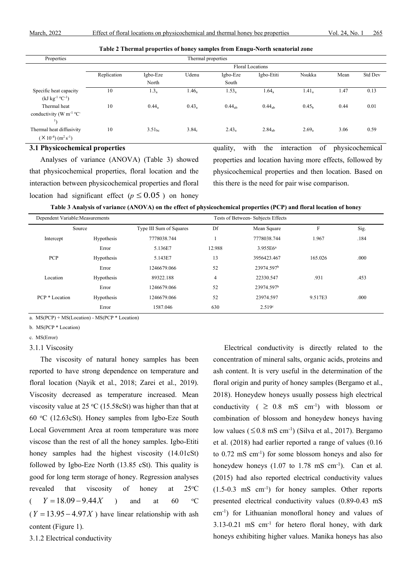**Table 2 Thermal properties of honey samples from Enugu-North senatorial zone**

| Properties                               |                         |                    | Thermal properties |                    |                    |                   |      |         |  |  |  |  |
|------------------------------------------|-------------------------|--------------------|--------------------|--------------------|--------------------|-------------------|------|---------|--|--|--|--|
|                                          | <b>Floral Locations</b> |                    |                    |                    |                    |                   |      |         |  |  |  |  |
|                                          | Replication             | Igbo-Eze           | Udenu              | Igbo-Eze           | Igbo-Etiti         | Nsukka            | Mean | Std Dev |  |  |  |  |
|                                          |                         | North              |                    | South              |                    |                   |      |         |  |  |  |  |
| Specific heat capacity                   | 10                      | $1.3_a$            | $1.46_a$           | $1.53_a$           | $1.64_a$           | 1.41 <sub>a</sub> | 1.47 | 0.13    |  |  |  |  |
| $(kJ kg^{-1} °C^{-1})$                   |                         |                    |                    |                    |                    |                   |      |         |  |  |  |  |
| Thermal heat                             | 10                      | $0.44_a$           | $0.43_a$           | 0.44 <sub>ab</sub> | 0.44 <sub>ab</sub> | 0.45 <sub>b</sub> | 0.44 | 0.01    |  |  |  |  |
| conductivity (W $m^{-1}$ °C <sup>-</sup> |                         |                    |                    |                    |                    |                   |      |         |  |  |  |  |
| $\mathbf{1}$                             |                         |                    |                    |                    |                    |                   |      |         |  |  |  |  |
| Thermal heat diffusivity                 | 10                      | 3.51 <sub>he</sub> | 3.84 <sub>c</sub>  | $2.43_a$           | $2.84_{ab}$        | $2.69_a$          | 3.06 | 0.59    |  |  |  |  |
| $(X10^{-4}) (m^2 s^{-1})$                |                         |                    |                    |                    |                    |                   |      |         |  |  |  |  |

#### **3.1 Physicochemical properties**

Analyses of variance (ANOVA) (Table 3) showed that physicochemical properties, floral location and the interaction between physicochemical properties and floral location had significant effect ( $p \le 0.05$ ) on honey

quality, with the interaction of physicochemical properties and location having more effects, followed by physicochemical properties and then location. Based on this there is the need for pair wise comparison.

**Table 3 Analysis of variance (ANOVA) on the effect of physicochemical properties (PCP) and floral location of honey**

| Dependent Variable: Measurements |            | Tests of Between-Subjects Effects |                |                        |         |      |  |  |  |  |
|----------------------------------|------------|-----------------------------------|----------------|------------------------|---------|------|--|--|--|--|
| Source                           |            | Type III Sum of Squares           | Df             | Mean Square            | F       | Sig. |  |  |  |  |
| Intercept                        | Hypothesis | 7778038.744                       |                | 7778038.744            | 1.967   | .184 |  |  |  |  |
|                                  | Error      | 5.136E7                           | 12.988         | 3.955E6 <sup>a</sup>   |         |      |  |  |  |  |
| <b>PCP</b>                       | Hypothesis | 5.143E7                           | 13             | 3956423.467            |         | .000 |  |  |  |  |
|                                  | Error      | 1246679.066                       | 52             | 23974.597 <sup>b</sup> |         |      |  |  |  |  |
| Location                         | Hypothesis | 89322.188                         | $\overline{4}$ | 22330.547              | .931    | .453 |  |  |  |  |
|                                  | Error      | 1246679.066                       | 52             | 23974.597 <sup>b</sup> |         |      |  |  |  |  |
| PCP * Location                   | Hypothesis |                                   | 52             | 23974.597              | 9.517E3 | .000 |  |  |  |  |
|                                  | Error      | 1587.046                          | 630            | 2.519 <sup>c</sup>     |         |      |  |  |  |  |

a. MS(PCP) + MS(Location) - MS(PCP \* Location)

b. MS(PCP \* Location)

c. MS(Error)

3.1.1 Viscosity

The viscosity of natural honey samples has been reported to have strong dependence on temperature and floral location (Nayik et al., 2018; Zarei et al., 2019). Viscosity decreased as temperature increased. Mean viscosity value at  $25 \text{ °C}$  (15.58cSt) was higher than that at 60  $\degree$ C (12.63cSt). Honey samples from Igbo-Eze South Local Government Area at room temperature was more viscose than the rest of all the honey samples. Igbo-Etiti honey samples had the highest viscosity (14.01cSt) followed by Igbo-Eze North (13.85 cSt). This quality is good for long term storage of honey. Regression analyses revealed that viscosity of honey at  $25^{\circ}$ C (  $Y = 18.09 - 9.44X$  ) and at 60 C  $(Y = 13.95 - 4.97X)$  have linear relationship with ash content (Figure 1).

3.1.2 Electrical conductivity

Electrical conductivity is directly related to the concentration of mineral salts, organic acids, proteins and ash content. It is very useful in the determination of the floral origin and purity of honey samples (Bergamo et al., 2018). Honeydew honeys usually possess high electrical conductivity ( $\geq 0.8$  mS cm<sup>-1</sup>) with blossom or combination of blossom and honeydew honeys having low values  $( \leq 0.8 \text{ mS cm}^{-1})$  (Silva et al., 2017). Bergamo et al. (2018) had earlier reported a range of values (0.16 to 0.72 mS cm-1 ) for some blossom honeys and also for honeydew honeys  $(1.07 \text{ to } 1.78 \text{ mS cm}^{-1})$ . Can et al. (2015) had also reported electrical conductivity values (1.5-0.3 mS cm-1 ) for honey samples. Other reports presented electrical conductivity values (0.89-0.43 mS cm-1 ) for Lithuanian monofloral honey and values of 3.13-0.21 mS cm-1 for hetero floral honey, with dark honeys exhibiting higher values. Manika honeys has also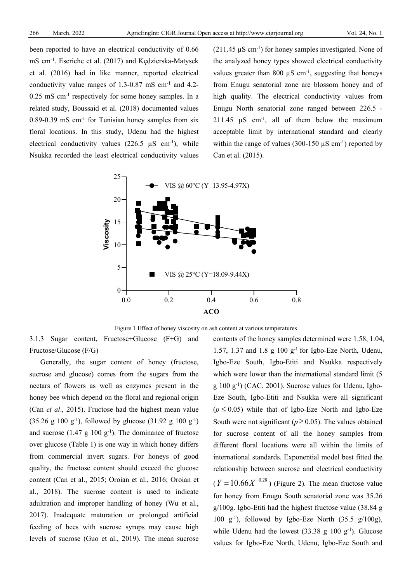been reported to have an electrical conductivity of 0.66 mS cm-1 . Escriche et al. (2017) and Kędzierska-Matysek et al. (2016) had in like manner, reported electrical conductivity value ranges of  $1.3{\text -}0.87 \text{ mS cm}^{-1}$  and  $4.2{\text -}$  $0.25$  mS cm<sup>-1</sup> respectively for some honey samples. In a related study, Boussaid et al. (2018) documented values  $0.89$ -0.39 mS cm<sup>-1</sup> for Tunisian honey samples from six floral locations. In this study, Udenu had the highest electrical conductivity values (226.5  $\mu$ S cm<sup>-1</sup>), while Nsukka recorded the least electrical conductivity values

 $(211.45 \,\mu S \text{ cm}^{-1})$  for honey samples investigated. None of the analyzed honey types showed electrical conductivity values greater than 800  $\mu$ S cm<sup>-1</sup>, suggesting that honeys from Enugu senatorial zone are blossom honey and of high quality. The electrical conductivity values from Enugu North senatorial zone ranged between 226.5 - 211.45  $\mu$ S cm<sup>-1</sup>, all of them below the maximum acceptable limit by international standard and clearly within the range of values (300-150  $\mu$ S cm<sup>-1</sup>) reported by Can et al. (2015).





3.1.3 Sugar content, Fructose+Glucose (F+G) and Fructose/Glucose (F/G)

Generally, the sugar content of honey (fructose, sucrose and glucose) comes from the sugars from the nectars of flowers as well as enzymes present in the honey bee which depend on the floral and regional origin (Can *et al*., 2015). Fructose had the highest mean value  $(35.26 \text{ g } 100 \text{ g}^{-1})$ , followed by glucose  $(31.92 \text{ g } 100 \text{ g}^{-1})$ and sucrose  $(1.47 \text{ g } 100 \text{ g}^{-1})$ . The dominance of fructose over glucose (Table 1) is one way in which honey differs from commercial invert sugars. For honeys of good quality, the fructose content should exceed the glucose content (Can et al., 2015; Oroian et al., 2016; Oroian et al., 2018). The sucrose content is used to indicate adultration and improper handling of honey (Wu et al., 2017). Inadequate maturation or prolonged artificial feeding of bees with sucrose syrups may cause high levels of sucrose (Guo et al., 2019). The mean sucrose

contents of the honey samples determined were 1.58, 1.04, 1.57, 1.37 and 1.8 g  $100 \text{ g}^{-1}$  for Igbo-Eze North, Udenu, Igbo-Eze South, Igbo-Etiti and Nsukka respectively which were lower than the international standard limit (5 g 100 g-1 ) (CAC, 2001). Sucrose values for Udenu, Igbo-Eze South, Igbo-Etiti and Nsukka were all significant  $(p \le 0.05)$  while that of Igbo-Eze North and Igbo-Eze South were not significant ( $p \ge 0.05$ ). The values obtained for sucrose content of all the honey samples from different floral locations were all within the limits of international standards. Exponential model best fitted the relationship between sucrose and electrical conductivity  $(Y = 10.66 X^{-0.28})$  (Figure 2). The mean fructose value for honey from Enugu South senatorial zone was 35.26 g/100g. Igbo-Etiti had the highest fructose value (38.84 g 100 g-1 ), followed by Igbo-Eze North (35.5 g/100g), while Udenu had the lowest  $(33.38 \text{ g } 100 \text{ g}^{-1})$ . Glucose values for Igbo-Eze North, Udenu, Igbo-Eze South and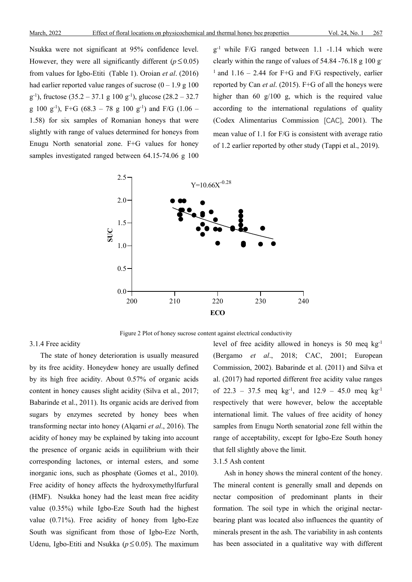Nsukka were not significant at 95% confidence level. However, they were all significantly different ( $p \le 0.05$ ) from values for Igbo-Etiti (Table 1). Oroian *et al*. (2016) had earlier reported value ranges of sucrose  $(0 - 1.9 \text{ g } 100$  $(g^{-1})$ , fructose (35.2 – 37.1 g 100  $(g^{-1})$ , glucose (28.2 – 32.7) g 100 g<sup>-1</sup>), F+G (68.3 – 78 g 100 g<sup>-1</sup>) and F/G (1.06 – 1.58) for six samples of Romanian honeys that were slightly with range of values determined for honeys from Enugu North senatorial zone. F+G values for honey samples investigated ranged between 64.15-74.06 g 100 g-1 while F/G ranged between 1.1 -1.14 which were clearly within the range of values of 54.84 -76.18 g 100 g-<sup>1</sup> and 1.16 – 2.44 for F+G and F/G respectively, earlier reported by Can *et al*. (2015). F+G of all the honeys were higher than 60 g/100 g, which is the required value according to the international regulations of quality (Codex Alimentarius Commission [CAC], 2001). The mean value of 1.1 for F/G is consistent with average ratio of 1.2 earlier reported by other study (Tappi et al., 2019).



Figure 2 Plot of honey sucrose content against electrical conductivity

## 3.1.4 Free acidity

The state of honey deterioration is usually measured by its free acidity. Honeydew honey are usually defined by its high free acidity. About 0.57% of organic acids content in honey causes slight acidity (Silva et al., 2017; Babarinde et al., 2011). Its organic acids are derived from sugars by enzymes secreted by honey bees when transforming nectar into honey (Alqarni *et al*., 2016). The acidity of honey may be explained by taking into account the presence of organic acids in equilibrium with their corresponding lactones, or internal esters, and some inorganic ions, such as phosphate (Gomes et al., 2010). Free acidity of honey affects the hydroxymethylfurfural (HMF). Nsukka honey had the least mean free acidity value (0.35%) while Igbo-Eze South had the highest value (0.71%). Free acidity of honey from Igbo-Eze South was significant from those of Igbo-Eze North, Udenu, Igbo-Etiti and Nsukka (*p*≤ 0.05). The maximum level of free acidity allowed in honeys is 50 meq kg-1 (Bergamo *et al*., 2018; CAC, 2001; European Commission, 2002). Babarinde et al. (2011) and Silva et al. (2017) had reported different free acidity value ranges of 22.3 – 37.5 meq  $kg^{-1}$ , and 12.9 – 45.0 meq  $kg^{-1}$ respectively that were however, below the acceptable international limit. The values of free acidity of honey samples from Enugu North senatorial zone fell within the range of acceptability, except for Igbo-Eze South honey that fell slightly above the limit.

#### 3.1.5 Ash content

Ash in honey shows the mineral content of the honey. The mineral content is generally small and depends on nectar composition of predominant plants in their formation. The soil type in which the original nectarbearing plant was located also influences the quantity of minerals present in the ash. The variability in ash contents has been associated in a qualitative way with different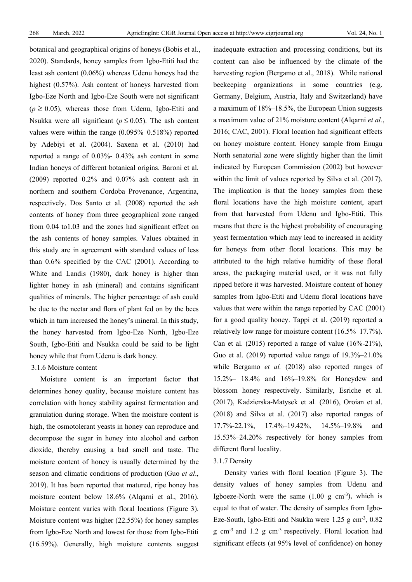botanical and geographical origins of honeys (Bobis et al., 2020). Standards, honey samples from Igbo-Etiti had the least ash content (0.06%) whereas Udenu honeys had the highest (0.57%). Ash content of honeys harvested from Igbo-Eze North and Igbo-Eze South were not significant  $(p \ge 0.05)$ , whereas those from Udenu, Igbo-Etiti and Nsukka were all significant ( $p \le 0.05$ ). The ash content values were within the range (0.095%–0.518%) reported by Adebiyi et al. (2004). Saxena et al. (2010) had reported a range of 0.03%- 0.43% ash content in some Indian honeys of different botanical origins. Baroni et al. (2009) reported 0.2% and 0.07% ash content ash in northern and southern Cordoba Provenance, Argentina, respectively. Dos Santo et al. (2008) reported the ash contents of honey from three geographical zone ranged from 0.04 to1.03 and the zones had significant effect on the ash contents of honey samples. Values obtained in this study are in agreement with standard values of less than 0.6% specified by the CAC (2001). According to White and Landis (1980), dark honey is higher than lighter honey in ash (mineral) and contains significant qualities of minerals. The higher percentage of ash could be due to the nectar and flora of plant fed on by the bees which in turn increased the honey's mineral. In this study, the honey harvested from Igbo-Eze North, Igbo-Eze South, Igbo-Etiti and Nsukka could be said to be light honey while that from Udenu is dark honey.

## 3.1.6 Moisture content

Moisture content is an important factor that determines honey quality, because moisture content has correlation with honey stability against fermentation and granulation during storage. When the moisture content is high, the osmotolerant yeasts in honey can reproduce and decompose the sugar in honey into alcohol and carbon dioxide, thereby causing a bad smell and taste. The moisture content of honey is usually determined by the season and climatic conditions of production (Guo *et al*., 2019). It has been reported that matured, ripe honey has moisture content below 18.6% (Alqarni et al., 2016). Moisture content varies with floral locations (Figure 3). Moisture content was higher (22.55%) for honey samples from Igbo-Eze North and lowest for those from Igbo-Etiti (16.59%). Generally, high moisture contents suggest

inadequate extraction and processing conditions, but its content can also be influenced by the climate of the harvesting region (Bergamo et al., 2018). While national beekeeping organizations in some countries (e.g. Germany, Belgium, Austria, Italy and Switzerland) have a maximum of 18%–18.5%, the European Union suggests a maximum value of 21% moisture content (Alqarni *et al.*, 2016; CAC, 2001). Floral location had significant effects on honey moisture content. Honey sample from Enugu North senatorial zone were slightly higher than the limit indicated by European Commission (2002) but however within the limit of values reported by Silva et al. (2017). The implication is that the honey samples from these floral locations have the high moisture content, apart from that harvested from Udenu and Igbo-Etiti. This means that there is the highest probability of encouraging yeast fermentation which may lead to increased in acidity for honeys from other floral locations. This may be attributed to the high relative humidity of these floral areas, the packaging material used, or it was not fully ripped before it was harvested. Moisture content of honey samples from Igbo-Etiti and Udenu floral locations have values that were within the range reported by CAC (2001) for a good quality honey. Tappi et al. (2019) reported a relatively low range for moisture content (16.5%–17.7%). Can et al.  $(2015)$  reported a range of value  $(16\textdegree-0.21\%)$ , Guo et al. (2019) reported value range of 19.3%–21.0% while Bergamo *et al.* (2018) also reported ranges of 15.2%– 18.4% and 16%–19.8% for Honeydew and blossom honey respectively. Similarly, Esriche et al*.* (2017), Kadzierska-Matysek et al*.* (2016), Oroian et al. (2018) and Silva et al. (2017) also reported ranges of 17.7%-22.1%, 17.4%–19.42%, 14.5%–19.8% and 15.53%–24.20% respectively for honey samples from different floral locality.

#### 3.1.7 Density

Density varies with floral location (Figure 3). The density values of honey samples from Udenu and Igboeze-North were the same  $(1.00 \text{ g cm}^{-3})$ , which is equal to that of water. The density of samples from Igbo-Eze-South, Igbo-Etiti and Nsukka were 1.25 g cm<sup>-3</sup>, 0.82 g cm-3 and 1.2 g cm-3 respectively. Floral location had significant effects (at 95% level of confidence) on honey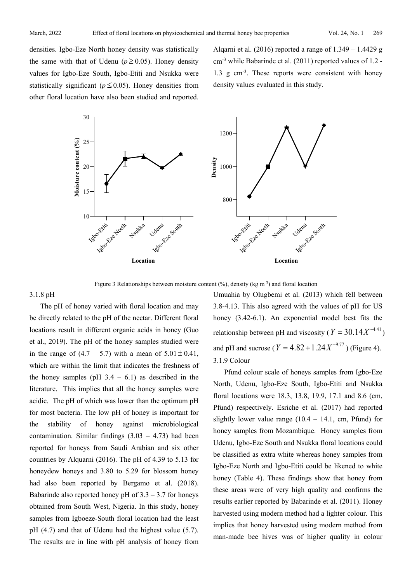densities. Igbo-Eze North honey density was statistically the same with that of Udenu ( $p \ge 0.05$ ). Honey density values for Igbo-Eze South, Igbo-Etiti and Nsukka were statistically significant ( $p \le 0.05$ ). Honey densities from other floral location have also been studied and reported.

Alqarni et al. (2016) reported a range of 1.349 – 1.4429 g cm-3 while Babarinde et al. (2011) reported values of 1.2 - 1.3 g cm-3 . These reports were consistent with honey density values evaluated in this study.



Figure 3 Relationships between moisture content  $(\%)$ , density (kg m<sup>-3</sup>) and floral location

#### 3.1.8 pH

The pH of honey varied with floral location and may be directly related to the pH of the nectar. Different floral locations result in different organic acids in honey (Guo et al., 2019). The pH of the honey samples studied were in the range of  $(4.7 - 5.7)$  with a mean of  $5.01 \pm 0.41$ , which are within the limit that indicates the freshness of the honey samples (pH  $3.4 - 6.1$ ) as described in the literature. This implies that all the honey samples were acidic. The pH of which was lower than the optimum pH for most bacteria. The low pH of honey is important for the stability of honey against microbiological contamination. Similar findings  $(3.03 - 4.73)$  had been reported for honeys from Saudi Arabian and six other countries by Alquarni (2016). The pH of 4.39 to 5.13 for honeydew honeys and 3.80 to 5.29 for blossom honey had also been reported by Bergamo et al. (2018). Babarinde also reported honey pH of  $3.3 - 3.7$  for honeys obtained from South West, Nigeria. In this study, honey samples from Igboeze-South floral location had the least pH (4.7) and that of Udenu had the highest value (5.7). The results are in line with pH analysis of honey from

Umuahia by Olugbemi et al. (2013) which fell between 3.8-4.13. This also agreed with the values of pH for US honey (3.42-6.1). An exponential model best fits the relationship between pH and viscosity ( $Y = 30.14 X^{-4.41}$ ) and pH and sucrose ( $Y = 4.82 + 1.24 X^{-9.77}$ ) (Figure 4). 3.1.9 Colour

Pfund colour scale of honeys samples from Igbo-Eze North, Udenu, Igbo-Eze South, Igbo-Etiti and Nsukka floral locations were 18.3, 13.8, 19.9, 17.1 and 8.6 (cm, Pfund) respectively. Esriche et al. (2017) had reported slightly lower value range  $(10.4 - 14.1, \text{ cm}, \text{Pfund})$  for honey samples from Mozambique. Honey samples from Udenu, Igbo-Eze South and Nsukka floral locations could be classified as extra white whereas honey samples from Igbo-Eze North and Igbo-Etiti could be likened to white honey (Table 4). These findings show that honey from these areas were of very high quality and confirms the results earlier reported by Babarinde et al. (2011). Honey harvested using modern method had a lighter colour. This implies that honey harvested using modern method from man-made bee hives was of higher quality in colour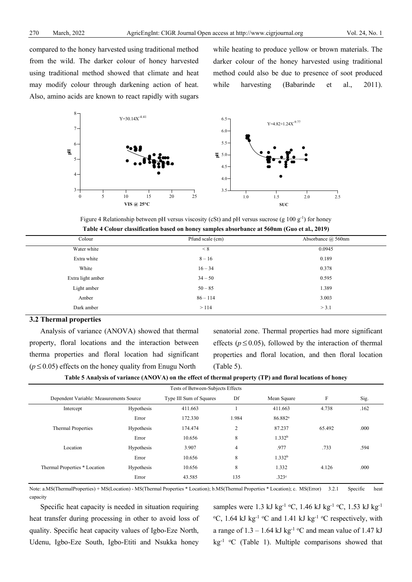compared to the honey harvested using traditional method from the wild. The darker colour of honey harvested using traditional method showed that climate and heat may modify colour through darkening action of heat. Also, amino acids are known to react rapidly with sugars

while heating to produce yellow or brown materials. The darker colour of the honey harvested using traditional method could also be due to presence of soot produced while harvesting (Babarinde et al., 2011).



Figure 4 Relationship between pH versus viscosity (cSt) and pH versus sucrose (g  $100 \text{ g}^{-1}$ ) for honey **Table 4 Colour classification based on honey samples absorbance at 560nm (Guo et al., 2019)**

| Colour            | Pfund scale (cm) | Absorbance @ 560nm |  |
|-------------------|------------------|--------------------|--|
| Water white       | $\leq 8$         | 0.0945             |  |
| Extra white       | $8 - 16$         | 0.189              |  |
| White             | $16 - 34$        | 0.378              |  |
| Extra light amber | $34 - 50$        | 0.595              |  |
| Light amber       | $50 - 85$        | 1.389              |  |
| Amber             | $86 - 114$       | 3.003              |  |
| Dark amber        | >114             | > 3.1              |  |
|                   |                  |                    |  |

#### **3.2 Thermal properties**

Analysis of variance (ANOVA) showed that thermal property, floral locations and the interaction between therma properties and floral location had significant  $(p \le 0.05)$  effects on the honey quality from Enugu North

senatorial zone. Thermal properties had more significant effects ( $p \le 0.05$ ), followed by the interaction of thermal properties and floral location, and then floral location (Table 5).

| Table 5 Analysis of variance (ANOVA) on the effect of thermal property (TP) and floral locations of honey |  |  |  |  |  |
|-----------------------------------------------------------------------------------------------------------|--|--|--|--|--|
|-----------------------------------------------------------------------------------------------------------|--|--|--|--|--|

| Tests of Between-Subjects Effects       |                         |         |                |                     |        |      |  |  |  |  |  |
|-----------------------------------------|-------------------------|---------|----------------|---------------------|--------|------|--|--|--|--|--|
| Dependent Variable: Measurements Source | Type III Sum of Squares | Df      | Mean Square    | F                   | Sig.   |      |  |  |  |  |  |
| Intercept                               | Hypothesis              | 411.663 |                | 411.663             | 4.738  | .162 |  |  |  |  |  |
|                                         | Error                   | 172.330 | 1.984          | 86.882 <sup>a</sup> |        |      |  |  |  |  |  |
| Thermal Properties                      | Hypothesis              | 174.474 | 2              | 87.237              | 65.492 | .000 |  |  |  |  |  |
|                                         | Error                   | 10.656  | 8              | 1.332 <sup>b</sup>  |        |      |  |  |  |  |  |
| Location                                | Hypothesis              | 3.907   | $\overline{4}$ | .977                | .733   | .594 |  |  |  |  |  |
|                                         | Error                   | 10.656  | 8              | 1.332 <sup>b</sup>  |        |      |  |  |  |  |  |
| Thermal Properties * Location           | Hypothesis              | 10.656  | 8              | 1.332               | 4.126  | .000 |  |  |  |  |  |
|                                         | Error                   | 43.585  | 135            | .323 <sup>c</sup>   |        |      |  |  |  |  |  |

Note: a.MS(ThermalProperties) + MS(Location) - MS(Thermal Properties \* Location); b.MS(Thermal Properties \* Location); c. MS(Error) 3.2.1 Specific heat capacity

Specific heat capacity is needed in situation requiring heat transfer during processing in other to avoid loss of quality. Specific heat capacity values of Igbo-Eze North, Udenu, Igbo-Eze South, Igbo-Etiti and Nsukka honey samples were 1.3 kJ kg<sup>-1</sup> °C, 1.46 kJ kg<sup>-1</sup> °C, 1.53 kJ kg<sup>-1</sup>  $\rm{^{\circ}C}$ , 1.64 kJ kg<sup>-1</sup>  $\rm{^{\circ}C}$  and 1.41 kJ kg<sup>-1</sup>  $\rm{^{\circ}C}$  respectively, with a range of  $1.3 - 1.64$  kJ kg<sup>-1</sup> °C and mean value of 1.47 kJ  $kg<sup>-1</sup> °C$  (Table 1). Multiple comparisons showed that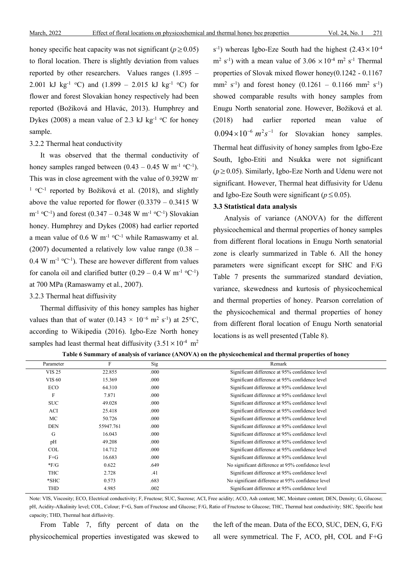honey specific heat capacity was not significant ( $p \ge 0.05$ ) to floral location. There is slightly deviation from values reported by other researchers. Values ranges (1.895 – 2.001 kJ kg<sup>-1</sup> °C) and (1.899 – 2.015 kJ kg<sup>-1</sup> °C) for flower and forest Slovakian honey respectively had been reported (Božiková and Hlavác, 2013). Humphrey and Dykes (2008) a mean value of 2.3 kJ kg<sup>-1</sup> °C for honey sample.

## 3.2.2 Thermal heat conductivity

It was observed that the thermal conductivity of honey samples ranged between  $(0.43 - 0.45 \text{ W m}^{-1} \text{ }^{\circ}\text{C}^{-1})$ . This was in close agreement with the value of 0.392W m- $1 \text{°C}$ <sup>1</sup> reported by Božiková et al. (2018), and slightly above the value reported for flower  $(0.3379 - 0.3415 \text{ W})$  $m^{-1}$  °C<sup>-1</sup>) and forest (0.347 – 0.348 W m<sup>-1</sup> °C<sup>-1</sup>) Slovakian honey. Humphrey and Dykes (2008) had earlier reported a mean value of 0.6 W  $m^{-1}$  °C<sup>-1</sup> while Ramaswamy et al. (2007) documented a relatively low value range (0.38 –  $0.4 \text{ W m}^{-1}$  °C<sup>-1</sup>). These are however different from values for canola oil and clarified butter  $(0.29 - 0.4 \text{ W m}^{-1} \text{ °C}^{-1})$ at 700 MPa (Ramaswamy et al., 2007).

3.2.3 Thermal heat diffusivity

Thermal diffusivity of this honey samples has higher values than that of water (0.143  $\times$  10<sup>-6</sup> m<sup>2</sup> s<sup>-1</sup>) at 25<sup>o</sup>C, according to Wikipedia (2016). Igbo-Eze North honey samples had least thermal heat diffusivity  $(3.51 \times 10^{-4} \text{ m}^2)$ 

 $s^{-1}$ ) whereas Igbo-Eze South had the highest  $(2.43 \times 10^{-4}$  $\text{m}^2$  s<sup>-1</sup>) with a mean value of 3.06  $\times$  10<sup>-4</sup> m<sup>2</sup> s<sup>-1</sup> Thermal properties of Slovak mixed flower honey(0.1242 - 0.1167 mm<sup>2</sup> s<sup>-1</sup>) and forest honey  $(0.1261 - 0.1166$  mm<sup>2</sup> s<sup>-1</sup>) showed comparable results with honey samples from Enugu North senatorial zone. However, Božiková et al. (2018) had earlier reported mean value of  $0.094 \times 10^{-6}$   $m^2 s^{-1}$  for Slovakian honey samples. Thermal heat diffusivity of honey samples from Igbo-Eze South, Igbo-Etiti and Nsukka were not significant  $(p \ge 0.05)$ . Similarly, Igbo-Eze North and Udenu were not significant. However, Thermal heat diffusivity for Udenu and Igbo-Eze South were significant ( $p \le 0.05$ ).

## **3.3 Statistical data analysis**

Analysis of variance (ANOVA) for the different physicochemical and thermal properties of honey samples from different floral locations in Enugu North senatorial zone is clearly summarized in Table 6. All the honey parameters were significant except for SHC and F/G Table 7 presents the summarized standard deviation, variance, skewedness and kurtosis of physicochemical and thermal properties of honey. Pearson correlation of the physicochemical and thermal properties of honey from different floral location of Enugu North senatorial locations is as well presented (Table 8).

| Parameter     | F         | Sig  | Remark                                            |
|---------------|-----------|------|---------------------------------------------------|
| <b>VIS 25</b> | 22.855    | .000 | Significant difference at 95% confidence level    |
| <b>VIS 60</b> | 15.369    | .000 | Significant difference at 95% confidence level    |
| <b>ECO</b>    | 64.310    | .000 | Significant difference at 95% confidence level    |
| F             | 7.871     | .000 | Significant difference at 95% confidence level    |
| <b>SUC</b>    | 49.028    | .000 | Significant difference at 95% confidence level    |
| <b>ACI</b>    | 25.418    | .000 | Significant difference at 95% confidence level    |
| МC            | 50.726    | .000 | Significant difference at 95% confidence level    |
| <b>DEN</b>    | 55947.761 | .000 | Significant difference at 95% confidence level    |
| G             | 16.043    | .000 | Significant difference at 95% confidence level    |
| pH            | 49.208    | .000 | Significant difference at 95% confidence level    |
| COL           | 14.712    | .000 | Significant difference at 95% confidence level    |
| $F + G$       | 16.683    | .000 | Significant difference at 95% confidence level    |
| $*F/G$        | 0.622     | .649 | No significant difference at 95% confidence level |
| THC           | 2.728     | .41  | Significant difference at 95% confidence level    |
| $*$ SHC       | 0.573     | .683 | No significant difference at 95% confidence level |
| THD           | 4.985     | .002 | Significant difference at 95% confidence level    |

**Table 6 Summary of analysis of variance (ANOVA) on the physicochemical and thermal properties of honey**

Note: VIS, Viscosity; ECO, Electrical conductivity; F, Fructose; SUC, Sucrose; ACI, Free acidity; ACO, Ash content; MC, Moisture content; DEN, Density; G, Glucose; pH, Acidity-Alkalinity level; COL, Colour; F+G, Sum of Fructose and Glucose; F/G, Ratio of Fructose to Glucose; THC, Thermal heat conductivity; SHC, Specific heat capacity; THD, Thermal heat diffusivity.

From Table 7, fifty percent of data on the physicochemical properties investigated was skewed to the left of the mean. Data of the ECO, SUC, DEN, G, F/G all were symmetrical. The F, ACO, pH, COL and F+G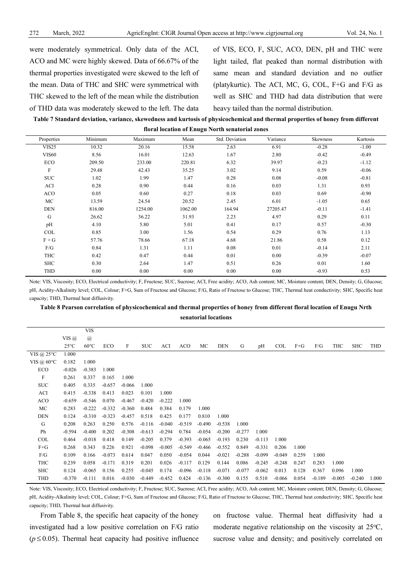were moderately symmetrical. Only data of the ACI, ACO and MC were highly skewed. Data of 66.67% of the thermal properties investigated were skewed to the left of the mean. Data of THC and SHC were symmetrical with THC skewed to the left of the mean while the distribution of THD data was moderately skewed to the left. The data of VIS, ECO, F, SUC, ACO, DEN, pH and THC were light tailed, flat peaked than normal distribution with same mean and standard deviation and no outlier (platykurtic). The ACI, MC, G, COL, F+G and F/G as well as SHC and THD had data distribution that were heavy tailed than the normal distribution.

**Table 7 Standard deviation, variance, skewedness and kurtosis of physicochemical and thermal properties of honey from different** 

|                   | floral location of Enugu North senatorial zones |                      |               |                |               |                 |               |  |  |  |  |  |
|-------------------|-------------------------------------------------|----------------------|---------------|----------------|---------------|-----------------|---------------|--|--|--|--|--|
| Properties        | Minimum                                         | Maximum              | Mean          | Std. Deviation | Variance      | <b>Skewness</b> | Kurtosis      |  |  |  |  |  |
| VIS <sub>25</sub> | 0.32                                            | 20.16                | 5.58          | 2.63           | 6.91          | -0.28           | $-1.00$       |  |  |  |  |  |
|                   | $\sim$ $\sim$ $\sim$                            | $\sim$ $\sim$ $\sim$ | $\sim$ $\sim$ | - --           | $\sim$ $\sim$ | $\sim$ $\sim$   | $\sim$ $\sim$ |  |  |  |  |  |

| VIS25        | 10.32  | 20.16   | 15.58   | 2.63   | 6.91     | $-0.28$ | $-1.00$ |
|--------------|--------|---------|---------|--------|----------|---------|---------|
| <b>VIS60</b> | 8.56   | 16.01   | 12.63   | 1.67   | 2.80     | $-0.42$ | $-0.49$ |
| ECO          | 209.50 | 233.00  | 220.81  | 6.32   | 39.97    | $-0.23$ | $-1.12$ |
| F            | 29.48  | 42.43   | 35.25   | 3.02   | 9.14     | 0.59    | $-0.06$ |
| <b>SUC</b>   | 1.02   | 1.99    | 1.47    | 0.28   | 0.08     | $-0.08$ | $-0.81$ |
| ACI          | 0.28   | 0.90    | 0.44    | 0.16   | 0.03     | 1.31    | 0.93    |
| <b>ACO</b>   | 0.05   | 0.60    | 0.27    | 0.18   | 0.03     | 0.69    | $-0.90$ |
| МC           | 13.59  | 24.54   | 20.52   | 2.45   | 6.01     | $-1.05$ | 0.65    |
| <b>DEN</b>   | 816.00 | 1254.00 | 1062.00 | 164.94 | 27205.47 | $-0.11$ | $-1.41$ |
| G            | 26.62  | 36.22   | 31.93   | 2.23   | 4.97     | 0.29    | 0.11    |
| pH           | 4.10   | 5.80    | 5.01    | 0.41   | 0.17     | 0.57    | $-0.30$ |
| <b>COL</b>   | 0.85   | 3.00    | 1.56    | 0.54   | 0.29     | 0.76    | 1.13    |
| $F + G$      | 57.76  | 78.66   | 67.18   | 4.68   | 21.86    | 0.58    | 0.12    |
| F/G          | 0.84   | 1.31    | 1.11    | 0.08   | 0.01     | $-0.14$ | 2.11    |
| THC          | 0.42   | 0.47    | 0.44    | 0.01   | 0.00     | $-0.39$ | $-0.07$ |
| <b>SHC</b>   | 0.30   | 2.64    | 1.47    | 0.51   | 0.26     | 0.01    | 1.60    |
| THD          | 0.00   | 0.00    | 0.00    | 0.00   | 0.00     | $-0.93$ | 0.53    |
|              |        |         |         |        |          |         |         |

Note: VIS, Viscosity; ECO, Electrical conductivity; F, Fructose; SUC, Sucrose; ACI, Free acidity; ACO, Ash content; MC, Moisture content; DEN, Density; G, Glucose; pH, Acidity-Alkalinity level; COL, Colour; F+G, Sum of Fructose and Glucose; F/G, Ratio of Fructose to Glucose; THC, Thermal heat conductivity; SHC, Specific heat capacity; THD, Thermal heat diffusivity.

**Table 8 Pearson correlation of physicochemical and thermal properties of honey from different floral location of Enugu Nrth senatorial locations**

|                      |                | <b>VIS</b>     |            |          |            |          |            |          |            |          |          |          |         |          |          |          |       |
|----------------------|----------------|----------------|------------|----------|------------|----------|------------|----------|------------|----------|----------|----------|---------|----------|----------|----------|-------|
|                      | VIS @          | $\mathcal{a}$  |            |          |            |          |            |          |            |          |          |          |         |          |          |          |       |
|                      | $25^{\circ}$ C | $60^{\circ}$ C | <b>ECO</b> | F        | <b>SUC</b> | ACI      | <b>ACO</b> | МC       | <b>DEN</b> | G        | pH       | COL      | $F + G$ | F/G      | THC      | SHC      | THD   |
| VIS @ $25^{\circ}$ C | 1.000          |                |            |          |            |          |            |          |            |          |          |          |         |          |          |          |       |
| VIS @ $60^{\circ}$ C | 0.182          | 1.000          |            |          |            |          |            |          |            |          |          |          |         |          |          |          |       |
| ECO.                 | $-0.026$       | $-0.383$       | 1.000      |          |            |          |            |          |            |          |          |          |         |          |          |          |       |
| $_{\rm F}$           | 0.261          | 0.337          | 0.165      | 1.000    |            |          |            |          |            |          |          |          |         |          |          |          |       |
| <b>SUC</b>           | 0.405          | 0.335          | $-0.657$   | $-0.066$ | 1.000      |          |            |          |            |          |          |          |         |          |          |          |       |
| ACI                  | 0.415          | $-0.338$       | 0.413      | 0.023    | 0.101      | 1.000    |            |          |            |          |          |          |         |          |          |          |       |
| ACO                  | $-0.659$       | $-0.546$       | 0.070      | $-0.467$ | $-0.420$   | $-0.222$ | 1.000      |          |            |          |          |          |         |          |          |          |       |
| МC                   | 0.283          | $-0.222$       | $-0.332$   | $-0.360$ | 0.484      | 0.384    | 0.179      | 1.000    |            |          |          |          |         |          |          |          |       |
| DEN                  | 0.124          | $-0.310$       | $-0.323$   | $-0.457$ | 0.518      | 0.425    | 0.177      | 0.810    | 1.000      |          |          |          |         |          |          |          |       |
| G                    | 0.208          | 0.263          | 0.250      | 0.576    | $-0.116$   | $-0.040$ | $-0.519$   | $-0.490$ | $-0.538$   | 1.000    |          |          |         |          |          |          |       |
| Ph                   | $-0.594$       | $-0.400$       | 0.202      | $-0.308$ | $-0.613$   | $-0.294$ | 0.784      | $-0.054$ | $-0.200$   | $-0.277$ | 1.000    |          |         |          |          |          |       |
| COL                  | 0.464          | $-0.018$       | 0.418      | 0.149    | $-0.205$   | 0.379    | $-0.393$   | $-0.065$ | $-0.193$   | 0.230    | $-0.113$ | 1.000    |         |          |          |          |       |
| $F + G$              | 0.268          | 0.343          | 0.226      | 0.921    | $-0.098$   | $-0.005$ | $-0.549$   | $-0.466$ | $-0.552$   | 0.849    | $-0.331$ | 0.206    | 1.000   |          |          |          |       |
| F/G                  | 0.109          | 0.166          | $-0.073$   | 0.614    | 0.047      | 0.050    | $-0.054$   | 0.044    | $-0.021$   | $-0.288$ | $-0.099$ | $-0.049$ | 0.259   | 1.000    |          |          |       |
| THC                  | 0.239          | 0.058          | $-0.171$   | 0.319    | 0.201      | 0.026    | $-0.117$   | 0.129    | 0.144      | 0.086    | $-0.245$ | $-0.248$ | 0.247   | 0.283    | 1.000    |          |       |
| <b>SHC</b>           | 0.124          | $-0.065$       | 0.156      | 0.255    | $-0.045$   | 0.174    | $-0.096$   | $-0.118$ | $-0.071$   | $-0.077$ | $-0.062$ | 0.013    | 0.128   | 0.367    | 0.096    | 1.000    |       |
| THD                  | $-0.370$       | $-0.111$       | 0.016      | $-0.030$ | -0.449     | $-0.452$ | 0.424      | $-0.136$ | $-0.300$   | 0.155    | 0.510    | $-0.066$ | 0.054   | $-0.189$ | $-0.005$ | $-0.240$ | 1.000 |

Note: VIS, Viscosity; ECO, Electrical conductivity; F, Fructose; SUC, Sucrose; ACI, Free acidity; ACO, Ash content; MC, Moisture content; DEN, Density; G, Glucose; pH, Acidity-Alkalinity level; COL, Colour; F+G, Sum of Fructose and Glucose; F/G, Ratio of Fructose to Glucose; THC, Thermal heat conductivity; SHC, Specific heat capacity; THD, Thermal heat diffusivity.

From Table 8, the specific heat capacity of the honey investigated had a low positive correlation on F/G ratio  $(p \le 0.05)$ . Thermal heat capacity had positive influence on fructose value. Thermal heat diffusivity had a moderate negative relationship on the viscosity at 25°C, sucrose value and density; and positively correlated on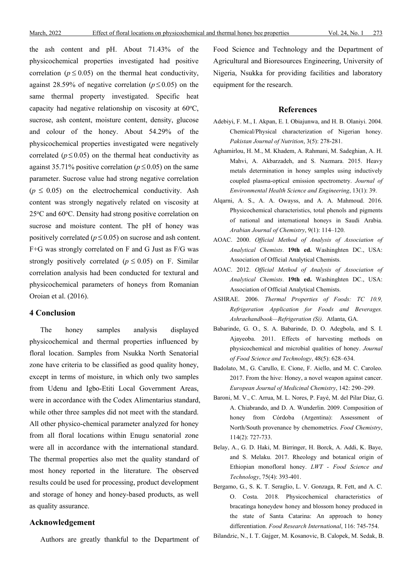the ash content and pH. About 71.43% of the physicochemical properties investigated had positive correlation ( $p \le 0.05$ ) on the thermal heat conductivity, against 28.59% of negative correlation ( $p \le 0.05$ ) on the same thermal property investigated. Specific heat capacity had negative relationship on viscosity at  $60^{\circ}$ C, sucrose, ash content, moisture content, density, glucose and colour of the honey. About 54.29% of the physicochemical properties investigated were negatively correlated ( $p \le 0.05$ ) on the thermal heat conductivity as against 35.71% positive correlation ( $p \le 0.05$ ) on the same parameter. Sucrose value had strong negative correlation  $(p \le 0.05)$  on the electrochemical conductivity. Ash content was strongly negatively related on viscosity at  $25^{\circ}$ C and  $60^{\circ}$ C. Density had strong positive correlation on sucrose and moisture content. The pH of honey was positively correlated ( $p \le 0.05$ ) on sucrose and ash content. F+G was strongly correlated on F and G Just as F/G was strongly positively correlated ( $p \le 0.05$ ) on F. Similar correlation analysis had been conducted for textural and physicochemical parameters of honeys from Romanian Oroian et al. (2016).

## **4 Conclusion**

The honey samples analysis displayed physicochemical and thermal properties influenced by floral location. Samples from Nsukka North Senatorial zone have criteria to be classified as good quality honey, except in terms of moisture, in which only two samples from Udenu and Igbo-Etiti Local Government Areas, were in accordance with the Codex Alimentarius standard, while other three samples did not meet with the standard. All other physico-chemical parameter analyzed for honey from all floral locations within Enugu senatorial zone were all in accordance with the international standard. The thermal properties also met the quality standard of most honey reported in the literature. The observed results could be used for processing, product development and storage of honey and honey-based products, as well as quality assurance.

## **Acknowledgement**

Authors are greatly thankful to the Department of

Food Science and Technology and the Department of Agricultural and Bioresources Engineering, University of Nigeria, Nsukka for providing facilities and laboratory equipment for the research.

#### **References**

- Adebiyi, F. M., I. Akpan, E. I. Obiajunwa, and H. B. Olaniyi. 2004. Chemical/Physical characterization of Nigerian honey. *Pakistan Journal of Nutrition*, 3(5): 278-281.
- Aghamirlou, H. M., M. Khadem, A. Rahmani, M. Sadeghian, A. H. Mahvi, A. Akbarzadeh, and S. Nazmara. 2015. Heavy metals determination in honey samples using inductively coupled plasma-optical emission spectrometry. *[Journal of](https://link.springer.com/journal/40201)  [Environmental Health Science and Engineering](https://link.springer.com/journal/40201)*, 13(1): 39.
- Alqarni, A. S., A. A. Owayss, and A. A. Mahmoud. 2016. Physicochemical characteristics, total phenols and pigments of national and international honeys in Saudi Arabia. *Arabian Journal of Chemistry*, 9(1): 114–120.
- AOAC. 2000. *Official Method of Analysis of Association of Analytical Chemists*. **19th ed.** Washinghten DC., USA: Association of Official Analytical Chemists.
- AOAC. 2012. *Official Method of Analysis of Association of Analytical Chemists*. **19th ed.** Washinghten DC., USA: Association of Official Analytical Chemists.
- ASHRAE. 2006. *Thermal Properties of Foods: TC 10.9, Refrigeration Application for Foods and Beverages. Ashraehandbook—Refrigeration (Si)*. Atlanta, GA.
- Babarinde, G. O., S. A. Babarinde, D. O. Adegbola, and S. I. Ajayeoba. 2011. Effects of harvesting methods on physicochemical and microbial qualities of honey. *Journal of Food Science and Technology*, 48(5): 628–634.
- Badolato, M., G. Carullo, E. Cione, F. Aiello, and M. C. Caroleo. 2017. From the hive: Honey, a novel weapon against cancer. *European Journal of Medicinal Chemistry*, 142: 290–299.
- Baroni, M. V., C. Arrua, M. L. Nores, P. Fayé, M. del Pilar Díaz, G. A. Chiabrando, and D. A. Wunderlin. 2009. Composition of honey from Córdoba (Argentina): Assessment of North/South provenance by chemometrics. *Food Chemistry*, 114(2): 727-733.
- Belay, A., G. D. Haki, M. Birringer, H. Borck, A. Addi, K. Baye, and S. Melaku. 2017. Rheology and botanical origin of Ethiopian monofloral honey. *LWT - Food Science and Technology*, 75(4): 393-401.
- Bergamo, G., S. K. T. Seraglio, L. V. Gonzaga, R. Fett, and A. C. O. Costa. 2018. Physicochemical characteristics of bracatinga honeydew honey and blossom honey produced in the state of Santa Catarina: An approach to honey differentiation. *Food Research International*, 116: 745-754.
- Bilandzic, N., I. T. Gajger, M. Kosanovic, B. Calopek, M. Sedak, B.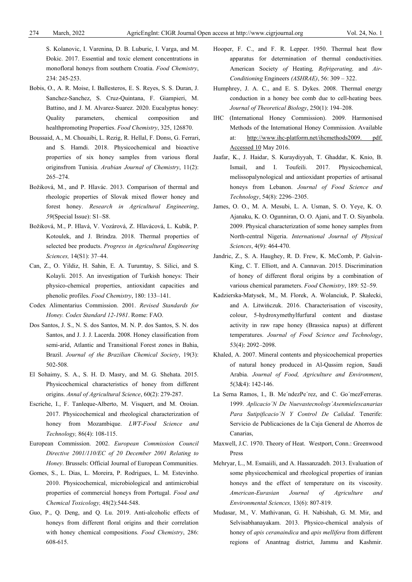S. Kolanovic, I. Varenina, D. B. Luburic, I. Varga, and M. Ðokic. 2017. Essential and toxic element concentrations in monofloral honeys from southern Croatia. *Food Chemistry*, 234: 245-253.

- Bobis, O., A. R. Moise, I. Ballesteros, E. S. Reyes, S. S. Duran, J. Sanchez-Sanchez, S. Cruz-Quintana, F. Giampieri, M. Battino, and J. M. Alvarez-Suarez. 2020. Eucalyptus honey: Quality parameters, chemical composition and healthpromoting Properties. *Food Chemistry*, 325, 126870.
- Boussaid, A., M. Chouaibi, L. Rezig, R. Hellal, F. Donsı, G. Ferrari, and S. Hamdi. 2018. Physicochemical and bioactive properties of six honey samples from various floral originsfrom Tunisia. *Arabian Journal of Chemistry*, 11(2): 265–274.
- Božiková, M., and P. Hlavác. 2013. Comparison of thermal and rheologic properties of Slovak mixed flower honey and forest honey. *Research in Agricultural Engineering*, *59*(Special Issue): S1–S8.
- Božiková, M., P. Hlavá, V. Vozárová, Z. Hlavácová, L. Kubík, P. Kotoulek, and J. Brindza. 2018. Thermal properties of selected bee products. *Progress in Agricultural Engineering Sciences,* 14(S1): 37–44.
- Can, Z., O. Yildiz, H. Sahin, E. A. Turumtay, S. Silici, and S. Kolayli. 2015. An investigation of Turkish honeys: Their physico-chemical properties, antioxidant capacities and phenolic profiles. *Food Chemistry*, 180: 133–141.
- Codex Alimentarius Commission. 2001. *Revised Standards for Honey. Codex Standard 12-1981*. Rome: FAO.
- Dos Santos, J. S., N. S. dos Santos, M. N. P. dos Santos, S. N. dos Santos, and J. J. J. Lacerda. 2008. Honey classification from semi-arid, Atlantic and Transitional Forest zones in Bahia, Brazil. *Journal of the Brazilian Chemical Society*, 19(3): 502-508.
- El Sohaimy, S. A., S. H. D. Masry, and M. G. Shehata. 2015. Physicochemical characteristics of honey from different origins. *Annal of Agricultural Science*, 60(2): 279-287.
- Escriche, I., F. Tanleque-Alberto, M. Visquert, and M. Oroian. 2017. Physicochemical and rheological characterization of honey from Mozambique. *LWT-Food Science and Technology,* 86(4): 108-115.
- European Commission. 2002. *European Commission Council Directive 2001/110/EC of 20 December 2001 Relating to Honey*. Brussels: Official Journal of European Communities.
- Gomes, S., L. Dias, L. Moreira, P. Rodrigues, L. M. Estevinho. 2010. Physicochemical, microbiological and antimicrobial properties of commercial honeys from Portugal. *Food and Chemical Toxicology,* 48(2):544-548.
- Guo, P., Q. Deng, and Q. Lu. 2019. Anti-alcoholic effects of honeys from different floral origins and their correlation with honey chemical compositions. *Food Chemistry*, 286: 608-615.
- Hooper, F. C., and F. R. Lepper. 1950. Thermal heat flow apparatus for determination of thermal conductivities. American Society *of* Heating*, Refrigerating,* and *Air-Conditioning* Engineers *(ASHRAE)*, 56: 309 – 322.
- Humphrey, J. A. C., and E. S. Dykes. 2008. Thermal energy conduction in a honey bee comb due to cell-heating bees. *Journal of Theoretical Biology*, 250(1): 194–208.
- IHC (International Honey Commission). 2009. Harmonised Methods of the International Honey Commission. Available at: [http://www.ihc-platform.net/ihcmethods2009. pdf.](http://www.ihc-platform.net/ihcmethods2009.%20pdf.%20Accessed%2010)  [Accessed 10](http://www.ihc-platform.net/ihcmethods2009.%20pdf.%20Accessed%2010) May 2016.
- Jaafar, K., J. Haidar, S. Kuraydiyyah, T. Ghaddar, K. Knio, B. Ismail, and I. Toufeili. 2017. Physicochemical, melissopalynological and antioxidant properties of artisanal honeys from Lebanon. *Journal of Food Science and Technology*, 54(8): 2296–2305.
- James, O. O., M. A. Mesubi, L. A. Usman, S. O. Yeye, K. O. Ajanaku, K. O. Ogunniran, O. O. Ajani, and T. O. Siyanbola. 2009. Physical characterization of some honey samples from North-central Nigeria. *International Journal of Physical Sciences*, 4(9): 464-470.
- Jandric, Z., S. A. Haughey, R. D. Frew, K. McComb, P. Galvin-King, C. T. Elliott, and A. Cannavan. 2015. Discrimination of honey of different floral origins by a combination of various chemical parameters. *Food Chemistry*, 189: 52–59.
- Kadzierska-Matysek, M., M. Florek, A. Wolanciuk, P. Skałecki, and A. Litwińczuk. 2016. Characterisation of viscosity, colour, 5-hydroxymethylfurfural content and diastase activity in raw rape honey (Brassica napus) at different temperatures. *Journal of Food Science and Technology*, 53(4): 2092–2098.
- Khaled, A. 2007. Mineral contents and physicochemical properties of natural honey produced in Al-Qassim region, Saudi Arabia. *Journal of Food, Agriculture and Environment*, 5(3&4): 142-146.
- La Serna Ramos, I., B. Me´ndezPe´rez, and C. Go´mezFerreras. 1999. *Aplicacio´N De Nuevastecnologı´Asenmielescanarias Para Sutipificacio´N Y Control De Calidad*. Tenerife: Servicio de Publicaciones de la Caja General de Ahorros de Canarias,
- Maxwell, J.C. 1970. Theory of Heat. Westport, Conn.: Greenwood Press
- Mehryar, L., M. Esmaiili, and A. Hassanzadeh. 2013. Evaluation of some physicochemical and rheological properties of iranian honeys and the effect of temperature on its viscosity. *American-Eurasian Journal of Agriculture and Environmental Sciences,* 13(6): 807-819.
- Mudasar, M., V. Mathivanan, G. H. Nabishah, G. M. Mir, and Selvisabhanayakam. 2013. Physico-chemical analysis of honey of *apis ceranaindica* and *apis mellifera* from different regions of Anantnag district, Jammu and Kashmir.